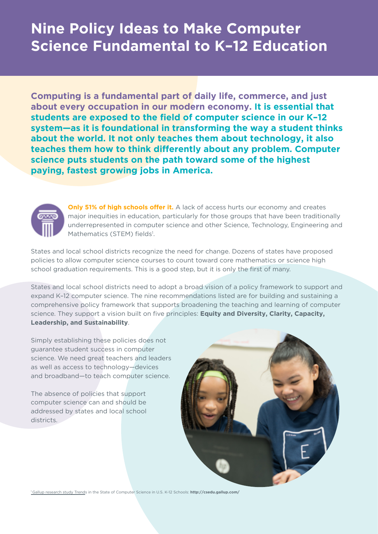# **Nine Policy Ideas to Make Computer Science Fundamental to K–12 Education**

**Computing is a fundamental part of daily life, commerce, and just about every occupation in our modern economy. It is essential that students are exposed to the field of computer science in our K–12 system—as it is foundational in transforming the way a student thinks about the world. It not only teaches them about technology, it also teaches them how to think differently about any problem. Computer science puts students on the path toward some of the highest paying, fastest growing jobs in America.**



**Only 51% of high schools offer it.** A lack of access hurts our economy and creates major inequities in education, particularly for those groups that have been traditionally underrepresented in computer science and other Science, Technology, Engineering and Mathematics (STEM) fields<sup>1</sup>.

States and local school districts recognize the need for change. Dozens of states have proposed policies to allow computer science courses to count toward core mathematics or science high school graduation requirements. This is a good step, but it is only the first of many.

States and local school districts need to adopt a broad vision of a policy framework to support and expand K–12 computer science. The nine recommendations listed are for building and sustaining a comprehensive policy framework that supports broadening the teaching and learning of computer science. They support a vision built on five principles: **Equity and Diversity, Clarity, Capacity, Leadership, and Sustainability**.

Simply establishing these policies does not guarantee student success in computer science. We need great teachers and leaders as well as access to technology—devices and broadband—to teach computer science.

The absence of policies that support computer science can and should be addressed by states and local school districts.



1 Gallup research study Trends in the State of Computer Science in U.S. K-12 Schools: **http://csedu.gallup.com/**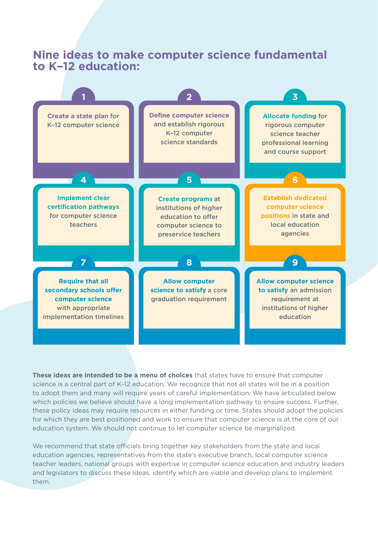# **Nine ideas to make computer science fundamental to K–12 education:**



**These ideas are intended to be a menu of choices** that states have to ensure that computer science is a central part of K–12 education. We recognize that not all states will be in a position to adopt them and many will require years of careful implementation. We have articulated below which policies we believe should have a long implementation pathway to ensure success. Further, these policy ideas may require resources in either funding or time. States should adopt the policies for which they are best positioned and work to ensure that computer science is at the core of our education system. We should not continue to let computer science be marginalized.

We recommend that state officials bring together key stakeholders from the state and local education agencies, representatives from the state's executive branch, local computer science teacher leaders, national groups with expertise in computer science education and industry leaders and legislators to discuss these ideas, identify which are viable and develop plans to implement them.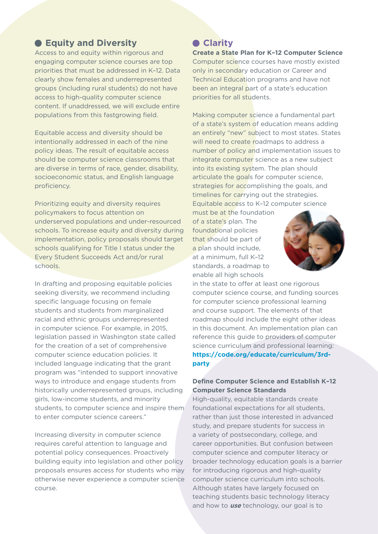# **Equity and Diversity**

Access to and equity within rigorous and engaging computer science courses are top priorities that must be addressed in K–12. Data clearly show females and underrepresented groups (including rural students) do not have access to high-quality computer science content. If unaddressed, we will exclude entire populations from this fastgrowing field.

Equitable access and diversity should be intentionally addressed in each of the nine policy ideas. The result of equitable access should be computer science classrooms that are diverse in terms of race, gender, disability, socioeconomic status, and English language proficiency.

Prioritizing equity and diversity requires policymakers to focus attention on underserved populations and under-resourced schools. To increase equity and diversity during implementation, policy proposals should target schools qualifying for Title I status under the Every Student Succeeds Act and/or rural schools.

In drafting and proposing equitable policies seeking diversity, we recommend including specific language focusing on female students and students from marginalized racial and ethnic groups underrepresented in computer science. For example, in 2015, legislation passed in Washington state called for the creation of a set of comprehensive computer science education policies. It included language indicating that the grant program was "intended to support innovative ways to introduce and engage students from historically underrepresented groups, including girls, low-income students, and minority students, to computer science and inspire them to enter computer science careers."

Increasing diversity in computer science requires careful attention to language and potential policy consequences. Proactively building equity into legislation and other policy proposals ensures access for students who may otherwise never experience a computer science course.

# **Clarity**

**Create a State Plan for K–12 Computer Science** Computer science courses have mostly existed only in secondary education or Career and Technical Education programs and have not been an integral part of a state's education priorities for all students.

Making computer science a fundamental part of a state's system of education means adding an entirely "new" subject to most states. States will need to create roadmaps to address a number of policy and implementation issues to integrate computer science as a new subject into its existing system. The plan should articulate the goals for computer science, strategies for accomplishing the goals, and timelines for carrying out the strategies. Equitable access to K–12 computer science

must be at the foundation of a state's plan. The foundational policies that should be part of a plan should include, at a minimum, full K–12 standards, a roadmap to enable all high schools



in the state to offer at least one rigorous computer science course, and funding sources for computer science professional learning and course support. The elements of that roadmap should include the eight other ideas in this document. An implementation plan can reference this guide to providers of computer science curriculum and professional learning: **https://code.org/educate/curriculum/3rdparty**

### **Define Computer Science and Establish K–12 Computer Science Standards**

High-quality, equitable standards create foundational expectations for all students, rather than just those interested in advanced study, and prepare students for success in a variety of postsecondary, college, and career opportunities. But confusion between computer science and computer literacy or broader technology education goals is a barrier for introducing rigorous and high-quality computer science curriculum into schools. Although states have largely focused on teaching students basic technology literacy and how to **use** technology, our goal is to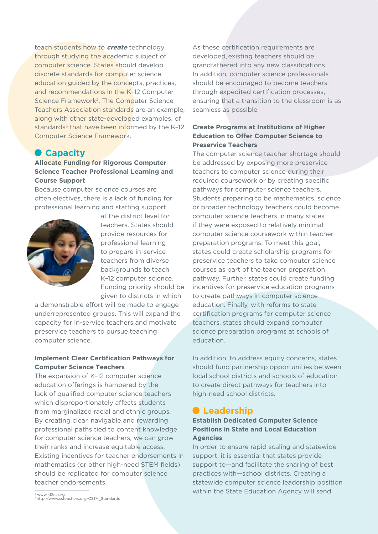teach students how to **create** technology through studying the academic subject of computer science. States should develop discrete standards for computer science education guided by the concepts, practices, and recommendations in the K–12 Computer Science Framework<sup>2</sup>. The Computer Science Teachers Association standards are an example, along with other state-developed examples, of standards $3$  that have been informed by the K-12 Computer Science Framework.

# **Capacity**

### **Allocate Funding for Rigorous Computer Science Teacher Professional Learning and Course Support**

Because computer science courses are often electives, there is a lack of funding for professional learning and staffing support



at the district level for teachers. States should provide resources for professional learning to prepare in-service teachers from diverse backgrounds to teach K–12 computer science. Funding priority should be given to districts in which

a demonstrable effort will be made to engage underrepresented groups. This will expand the capacity for in-service teachers and motivate preservice teachers to pursue teaching computer science.

### **Implement Clear Certification Pathways for Computer Science Teachers**

The expansion of K–12 computer science education offerings is hampered by the lack of qualified computer science teachers which disproportionately affects students from marginalized racial and ethnic groups. By creating clear, navigable and rewarding professional paths tied to content knowledge for computer science teachers, we can grow their ranks and increase equitable access. Existing incentives for teacher endorsements in mathematics (or other high-need STEM fields) should be replicated for computer science teacher endorsements.

As these certification requirements are developed, existing teachers should be grandfathered into any new classifications. In addition, computer science professionals should be encouraged to become teachers through expedited certification processes, ensuring that a transition to the classroom is as seamless as possible.

#### **Create Programs at Institutions of Higher Education to Offer Computer Science to Preservice Teachers**

The computer science teacher shortage should be addressed by exposing more preservice teachers to computer science during their required coursework or by creating specific pathways for computer science teachers. Students preparing to be mathematics, science or broader technology teachers could become computer science teachers in many states if they were exposed to relatively minimal computer science coursework within teacher preparation programs. To meet this goal, states could create scholarship programs for preservice teachers to take computer science courses as part of the teacher preparation pathway. Further, states could create funding incentives for preservice education programs to create pathways in computer science education. Finally, with reforms to state certification programs for computer science teachers, states should expand computer science preparation programs at schools of education.

In addition, to address equity concerns, states should fund partnership opportunities between local school districts and schools of education to create direct pathways for teachers into high-need school districts.

# **Leadership**

#### **Establish Dedicated Computer Science Positions in State and Local Education Agencies**

In order to ensure rapid scaling and statewide support, it is essential that states provide support to—and facilitate the sharing of best practices with—school districts. Creating a statewide computer science leadership position within the State Education Agency will send

<sup>2</sup> www.k12cs.org <sup>3</sup>http://www.csteachers.org/CSTA\_Standards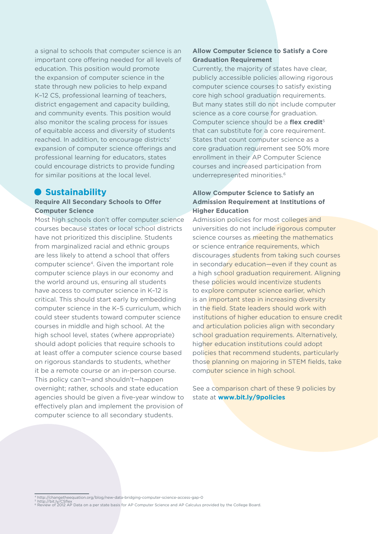a signal to schools that computer science is an important core offering needed for all levels of education. This position would promote the expansion of computer science in the state through new policies to help expand K–12 CS, professional learning of teachers, district engagement and capacity building, and community events. This position would also monitor the scaling process for issues of equitable access and diversity of students reached. In addition, to encourage districts' expansion of computer science offerings and professional learning for educators, states could encourage districts to provide funding for similar positions at the local level.

## **• Sustainability**

#### **Require All Secondary Schools to Offer Computer Science**

Most high schools don't offer computer science courses because states or local school districts have not prioritized this discipline. Students from marginalized racial and ethnic groups are less likely to attend a school that offers computer science4. Given the important role computer science plays in our economy and the world around us, ensuring all students have access to computer science in K–12 is critical. This should start early by embedding computer science in the K–5 curriculum, which could steer students toward computer science courses in middle and high school. At the high school level, states (where appropriate) should adopt policies that require schools to at least offer a computer science course based on rigorous standards to students, whether it be a remote course or an in-person course. This policy can't—and shouldn't—happen overnight; rather, schools and state education agencies should be given a five-year window to effectively plan and implement the provision of computer science to all secondary students.

## **Allow Computer Science to Satisfy a Core Graduation Requirement**

Currently, the majority of states have clear, publicly accessible policies allowing rigorous computer science courses to satisfy existing core high school graduation requirements. But many states still do not include computer science as a core course for graduation. Computer science should be a **flex credit**<sup>5</sup> that can substitute for a core requirement. States that count computer science as a core graduation requirement see 50% more enrollment in their AP Computer Science courses and increased participation from underrepresented minorities.<sup>6</sup>

## **Allow Computer Science to Satisfy an Admission Requirement at Institutions of Higher Education**

Admission policies for most colleges and universities do not include rigorous computer science courses as meeting the mathematics or science entrance requirements, which discourages students from taking such courses in secondary education—even if they count as a high school graduation requirement. Aligning these policies would incentivize students to explore computer science earlier, which is an important step in increasing diversity in the field. State leaders should work with institutions of higher education to ensure credit and articulation policies align with secondary school graduation requirements. Alternatively, higher education institutions could adopt policies that recommend students, particularly those planning on majoring in STEM fields, take computer science in high school.

See a comparison chart of these 9 policies by state at **www.bit.ly/9policies**

<sup>4</sup> http://changetheequation.org/blog/new-data-bridging-computer-science-access-gap-0<br><sup>5</sup> http://bit.ly/CSflex<br>© Review of 2012 AP Data on a per state basis for AP Computer Science and AP Calculus provided by the College Boa